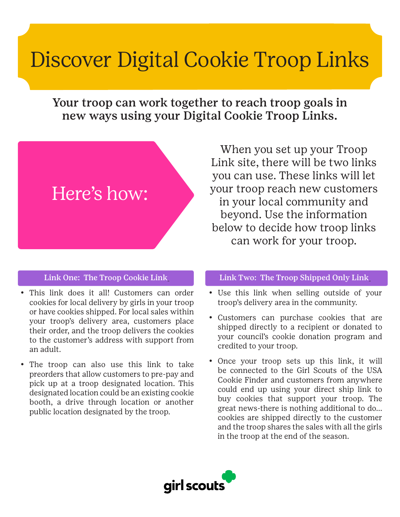# Discover Digital Cookie Troop Links

Your troop can work together to reach troop goals in new ways using your Digital Cookie Troop Links.



#### Link One: The Troop Cookie Link

- • This link does it all! Customers can order cookies for local delivery by girls in your troop or have cookies shipped. For local sales within your troop's delivery area, customers place their order, and the troop delivers the cookies to the customer's address with support from an adult.
- The troop can also use this link to take preorders that allow customers to pre-pay and pick up at a troop designated location. This designated location could be an existing cookie booth, a drive through location or another public location designated by the troop.

When you set up your Troop Link site, there will be two links you can use. These links will let your troop reach new customers in your local community and beyond. Use the information below to decide how troop links can work for your troop.

#### Link Two: The Troop Shipped Only Link

- Use this link when selling outside of your troop's delivery area in the community.
- • Customers can purchase cookies that are shipped directly to a recipient or donated to your council's cookie donation program and credited to your troop.
- Once your troop sets up this link, it will be connected to the Girl Scouts of the USA Cookie Finder and customers from anywhere could end up using your direct ship link to buy cookies that support your troop. The great news-there is nothing additional to do... cookies are shipped directly to the customer and the troop shares the sales with all the girls in the troop at the end of the season.